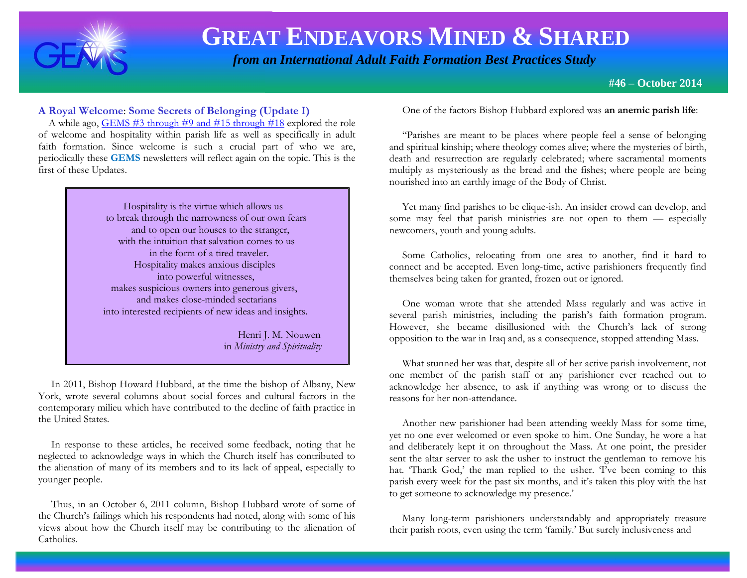

 *from an International Adult Faith Formation Best Practices Study*

**#46 – October 2014**

#### **A Royal Welcome**: **Some Secrets of Belonging (Update I)**

 A while ago, [GEMS #3 through #9 and #15 through #18](http://www.janetschaeffler.com/Best-Practices.html) explored the role of welcome and hospitality within parish life as well as specifically in adult faith formation. Since welcome is such a crucial part of who we are, periodically these **GEMS** newsletters will reflect again on the topic. This is the first of these Updates.

> Hospitality is the virtue which allows us to break through the narrowness of our own fears and to open our houses to the stranger, with the intuition that salvation comes to us in the form of a tired traveler. Hospitality makes anxious disciples into powerful witnesses, makes suspicious owners into generous givers, and makes close-minded sectarians into interested recipients of new ideas and insights.

> > Henri J. M. Nouwen in *Ministry and Spirituality*

 In 2011, Bishop Howard Hubbard, at the time the bishop of Albany, New York, wrote several columns about social forces and cultural factors in the contemporary milieu which have contributed to the decline of faith practice in the United States.

 In response to these articles, he received some feedback, noting that he neglected to acknowledge ways in which the Church itself has contributed to the alienation of many of its members and to its lack of appeal, especially to younger people.

 Thus, in an October 6, 2011 column, Bishop Hubbard wrote of some of the Church's failings which his respondents had noted, along with some of his views about how the Church itself may be contributing to the alienation of Catholics.

One of the factors Bishop Hubbard explored was **an anemic parish life**:

 "Parishes are meant to be places where people feel a sense of belonging and spiritual kinship; where theology comes alive; where the mysteries of birth, death and resurrection are regularly celebrated; where sacramental moments multiply as mysteriously as the bread and the fishes; where people are being nourished into an earthly image of the Body of Christ.

 Yet many find parishes to be clique-ish. An insider crowd can develop, and some may feel that parish ministries are not open to them — especially newcomers, youth and young adults.

 Some Catholics, relocating from one area to another, find it hard to connect and be accepted. Even long-time, active parishioners frequently find themselves being taken for granted, frozen out or ignored.

 One woman wrote that she attended Mass regularly and was active in several parish ministries, including the parish's faith formation program. However, she became disillusioned with the Church's lack of strong opposition to the war in Iraq and, as a consequence, stopped attending Mass.

 What stunned her was that, despite all of her active parish involvement, not one member of the parish staff or any parishioner ever reached out to acknowledge her absence, to ask if anything was wrong or to discuss the reasons for her non-attendance.

 Another new parishioner had been attending weekly Mass for some time, yet no one ever welcomed or even spoke to him. One Sunday, he wore a hat and deliberately kept it on throughout the Mass. At one point, the presider sent the altar server to ask the usher to instruct the gentleman to remove his hat. Thank God,' the man replied to the usher. Tve been coming to this parish every week for the past six months, and it's taken this ploy with the hat to get someone to acknowledge my presence.'

 Many long-term parishioners understandably and appropriately treasure their parish roots, even using the term 'family.' But surely inclusiveness and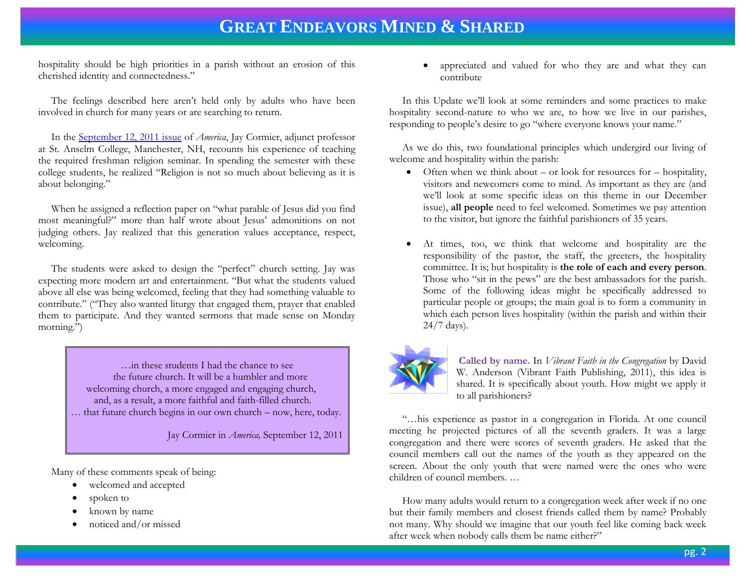hospitality should be high priorities in a parish without an erosion of this cherished identity and connectedness."

 The feelings described here aren't held only by adults who have been involved in church for many years or are searching to return.

 In the [September 12, 2011 issue](http://americamagazine.org/issue/786/faith-focus/student-teachers) of *America*, Jay Cormier, adjunct professor at St. Anselm College, Manchester, NH, recounts his experience of teaching the required freshman religion seminar. In spending the semester with these college students, he realized "Religion is not so much about believing as it is about belonging."

 When he assigned a reflection paper on "what parable of Jesus did you find most meaningful?" more than half wrote about Jesus' admonitions on not judging others. Jay realized that this generation values acceptance, respect, welcoming.

 The students were asked to design the "perfect" church setting. Jay was expecting more modern art and entertainment. "But what the students valued above all else was being welcomed, feeling that they had something valuable to contribute." ("They also wanted liturgy that engaged them, prayer that enabled them to participate. And they wanted sermons that made sense on Monday morning.")

> …in these students I had the chance to see the future church. It will be a humbler and more welcoming church, a more engaged and engaging church, and, as a result, a more faithful and faith-filled church. … that future church begins in our own church – now, here, today.

> > Jay Cormier in *America,* September 12, 2011

Many of these comments speak of being:

- welcomed and accepted
- spoken to
- known by name
- noticed and/or missed

 appreciated and valued for who they are and what they can contribute

 In this Update we'll look at some reminders and some practices to make hospitality second-nature to who we are, to how we live in our parishes, responding to people's desire to go "where everyone knows your name."

 As we do this, two foundational principles which undergird our living of welcome and hospitality within the parish:

- $\bullet$  Often when we think about or look for resources for hospitality, visitors and newcomers come to mind. As important as they are (and we'll look at some specific ideas on this theme in our December issue), **all people** need to feel welcomed. Sometimes we pay attention to the visitor, but ignore the faithful parishioners of 35 years.
- At times, too, we think that welcome and hospitality are the responsibility of the pastor, the staff, the greeters, the hospitality committee. It is; but hospitality is **the role of each and every person**. Those who "sit in the pews" are the best ambassadors for the parish. Some of the following ideas might be specifically addressed to particular people or groups; the main goal is to form a community in which each person lives hospitality (within the parish and within their 24/7 days).



**Called by name.** In *Vibrant Faith in the Congregation* by David W. Anderson (Vibrant Faith Publishing, 2011), this idea is shared. It is specifically about youth. How might we apply it to all parishioners?

 "…his experience as pastor in a congregation in Florida. At one council meeting he projected pictures of all the seventh graders. It was a large congregation and there were scores of seventh graders. He asked that the council members call out the names of the youth as they appeared on the screen. About the only youth that were named were the ones who were children of council members. …

 How many adults would return to a congregation week after week if no one but their family members and closest friends called them by name? Probably not many. Why should we imagine that our youth feel like coming back week after week when nobody calls them be name either?"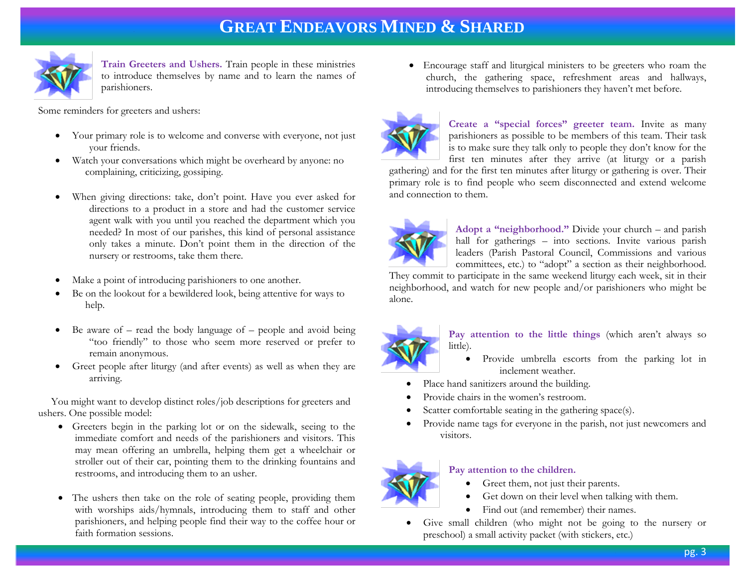

**Train Greeters and Ushers.** Train people in these ministries to introduce themselves by name and to learn the names of parishioners.

Some reminders for greeters and ushers:

- Your primary role is to welcome and converse with everyone, not just your friends.
- Watch your conversations which might be overheard by anyone: no complaining, criticizing, gossiping.
- When giving directions: take, don't point. Have you ever asked for directions to a product in a store and had the customer service agent walk with you until you reached the department which you needed? In most of our parishes, this kind of personal assistance only takes a minute. Don't point them in the direction of the nursery or restrooms, take them there.
- Make a point of introducing parishioners to one another.
- Be on the lookout for a bewildered look, being attentive for ways to help.
- $\bullet$  Be aware of read the body language of people and avoid being "too friendly" to those who seem more reserved or prefer to remain anonymous.
- Greet people after liturgy (and after events) as well as when they are arriving.

 You might want to develop distinct roles/job descriptions for greeters and ushers. One possible model:

- Greeters begin in the parking lot or on the sidewalk, seeing to the immediate comfort and needs of the parishioners and visitors. This may mean offering an umbrella, helping them get a wheelchair or stroller out of their car, pointing them to the drinking fountains and restrooms, and introducing them to an usher.
- The ushers then take on the role of seating people, providing them with worships aids/hymnals, introducing them to staff and other parishioners, and helping people find their way to the coffee hour or faith formation sessions.

 Encourage staff and liturgical ministers to be greeters who roam the church, the gathering space, refreshment areas and hallways, introducing themselves to parishioners they haven't met before.



**Create a "special forces" greeter team.** Invite as many parishioners as possible to be members of this team. Their task is to make sure they talk only to people they don't know for the first ten minutes after they arrive (at liturgy or a parish

gathering) and for the first ten minutes after liturgy or gathering is over. Their primary role is to find people who seem disconnected and extend welcome and connection to them.



**Adopt a "neighborhood."** Divide your church – and parish hall for gatherings – into sections. Invite various parish leaders (Parish Pastoral Council, Commissions and various committees, etc.) to "adopt" a section as their neighborhood.

They commit to participate in the same weekend liturgy each week, sit in their neighborhood, and watch for new people and/or parishioners who might be alone.



**Pay attention to the little things** (which aren't always so little).

- Provide umbrella escorts from the parking lot in inclement weather.
- Place hand sanitizers around the building.
- Provide chairs in the women's restroom.
- Scatter comfortable seating in the gathering space(s).
- Provide name tags for everyone in the parish, not just newcomers and visitors.



#### **Pay attention to the children.**

- Greet them, not just their parents.
- Get down on their level when talking with them.
- Find out (and remember) their names.
- Give small children (who might not be going to the nursery or preschool) a small activity packet (with stickers, etc.)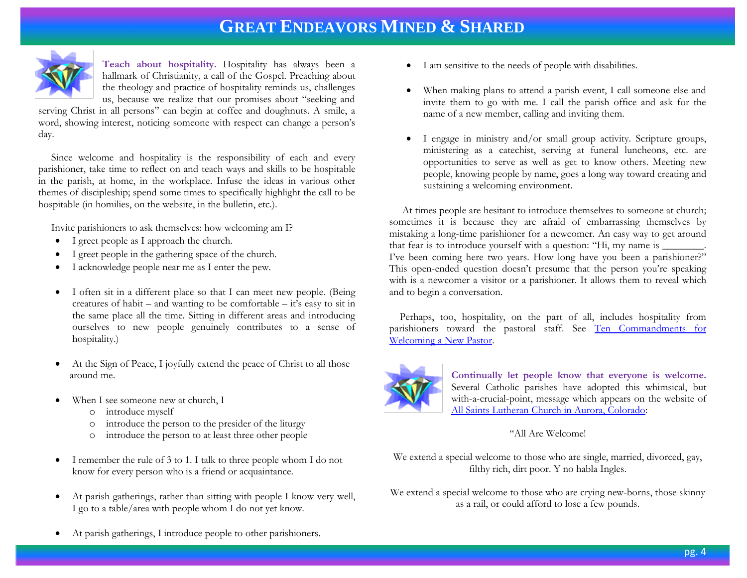

**Teach about hospitality.** Hospitality has always been a hallmark of Christianity, a call of the Gospel. Preaching about the theology and practice of hospitality reminds us, challenges us, because we realize that our promises about "seeking and

serving Christ in all persons" can begin at coffee and doughnuts. A smile, a word, showing interest, noticing someone with respect can change a person's day.

 Since welcome and hospitality is the responsibility of each and every parishioner, take time to reflect on and teach ways and skills to be hospitable in the parish, at home, in the workplace. Infuse the ideas in various other themes of discipleship; spend some times to specifically highlight the call to be hospitable (in homilies, on the website, in the bulletin, etc.).

Invite parishioners to ask themselves: how welcoming am I?

- I greet people as I approach the church.
- I greet people in the gathering space of the church.
- I acknowledge people near me as I enter the pew.
- I often sit in a different place so that I can meet new people. (Being creatures of habit – and wanting to be comfortable – it's easy to sit in the same place all the time. Sitting in different areas and introducing ourselves to new people genuinely contributes to a sense of hospitality.)
- At the Sign of Peace, I joyfully extend the peace of Christ to all those around me.
- When I see someone new at church, I
	- o introduce myself
	- o introduce the person to the presider of the liturgy
	- o introduce the person to at least three other people
- I remember the rule of 3 to 1. I talk to three people whom I do not know for every person who is a friend or acquaintance.
- At parish gatherings, rather than sitting with people I know very well, I go to a table/area with people whom I do not yet know.
- I am sensitive to the needs of people with disabilities.
- When making plans to attend a parish event, I call someone else and invite them to go with me. I call the parish office and ask for the name of a new member, calling and inviting them.
- I engage in ministry and/or small group activity. Scripture groups, ministering as a catechist, serving at funeral luncheons, etc. are opportunities to serve as well as get to know others. Meeting new people, knowing people by name, goes a long way toward creating and sustaining a welcoming environment.

 At times people are hesitant to introduce themselves to someone at church; sometimes it is because they are afraid of embarrassing themselves by mistaking a long-time parishioner for a newcomer. An easy way to get around that fear is to introduce yourself with a question: "Hi, my name is  $\Box$ I've been coming here two years. How long have you been a parishioner?" This open-ended question doesn't presume that the person you're speaking with is a newcomer a visitor or a parishioner. It allows them to reveal which and to begin a conversation.

 Perhaps, too, hospitality, on the part of all, includes hospitality from parishioners toward the pastoral staff. See [Ten Commandments for](http://www.holyangels.com/node/36)  [Welcoming a New Pastor.](http://www.holyangels.com/node/36)



**Continually let people know that everyone is welcome.** Several Catholic parishes have adopted this whimsical, but with-a-crucial-point, message which appears on the website of [All Saints Lutheran Church in Aurora, Colorado:](http://www.allsaintsnet.org/)

#### "All Are Welcome!

We extend a special welcome to those who are single, married, divorced, gay, filthy rich, dirt poor. Y no habla Ingles.

We extend a special welcome to those who are crying new-borns, those skinny as a rail, or could afford to lose a few pounds.

At parish gatherings, I introduce people to other parishioners.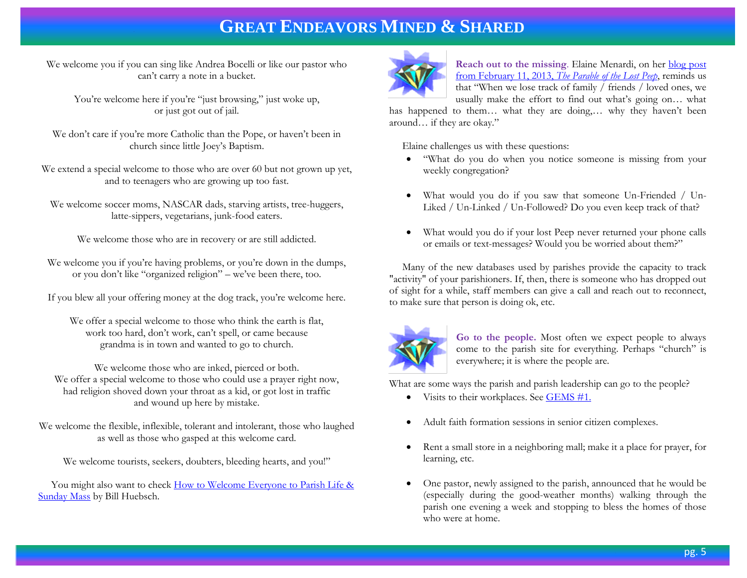We welcome you if you can sing like Andrea Bocelli or like our pastor who can't carry a note in a bucket.

You're welcome here if you're "just browsing," just woke up, or just got out of jail.

We don't care if you're more Catholic than the Pope, or haven't been in church since little Joey's Baptism.

We extend a special welcome to those who are over 60 but not grown up yet, and to teenagers who are growing up too fast.

We welcome soccer moms, NASCAR dads, starving artists, tree-huggers, latte-sippers, vegetarians, junk-food eaters.

We welcome those who are in recovery or are still addicted.

We welcome you if you're having problems, or you're down in the dumps, or you don't like "organized religion" – we've been there, too.

If you blew all your offering money at the dog track, you're welcome here.

We offer a special welcome to those who think the earth is flat, work too hard, don't work, can't spell, or came because grandma is in town and wanted to go to church.

We welcome those who are inked, pierced or both. We offer a special welcome to those who could use a prayer right now, had religion shoved down your throat as a kid, or got lost in traffic and wound up here by mistake.

We welcome the flexible, inflexible, tolerant and intolerant, those who laughed as well as those who gasped at this welcome card.

We welcome tourists, seekers, doubters, bleeding hearts, and you!"

 You might also want to check [How to Welcome Everyone to Parish Life &](http://store.pastoralplanning.com/meforwefotos.html)  [Sunday Mass](http://store.pastoralplanning.com/meforwefotos.html) by Bill Huebsch.



**Reach out to the missing**. Elaine Menardi, on her [blog post](http://laneplane.com/2013/02/11/the-parable-of-the-lost-peep/)  from February 11, 2013, *[The Parable of the Lost Peep](http://laneplane.com/2013/02/11/the-parable-of-the-lost-peep/)*, reminds us that "When we lose track of family / friends / loved ones, we usually make the effort to find out what's going on… what

has happened to them… what they are doing,… why they haven't been around… if they are okay."

Elaine challenges us with these questions:

- "What do you do when you notice someone is missing from your weekly congregation?
- What would you do if you saw that someone Un-Friended / Un-Liked / Un-Linked / Un-Followed? Do you even keep track of that?
- What would you do if your lost Peep never returned your phone calls or emails or text-messages? Would you be worried about them?"

 Many of the new databases used by parishes provide the capacity to track "activity" of your parishioners. If, then, there is someone who has dropped out of sight for a while, staff members can give a call and reach out to reconnect, to make sure that person is doing ok, etc.



**Go to the people.** Most often we expect people to always come to the parish site for everything. Perhaps "church" is everywhere; it is where the people are.

What are some ways the parish and parish leadership can go to the people?

- $\bullet$  Visits to their workplaces. See [GEMS #1.](http://www.janetschaeffler.com/Gems__1.pdf)
- Adult faith formation sessions in senior citizen complexes.
- Rent a small store in a neighboring mall; make it a place for prayer, for learning, etc.
- One pastor, newly assigned to the parish, announced that he would be (especially during the good-weather months) walking through the parish one evening a week and stopping to bless the homes of those who were at home.